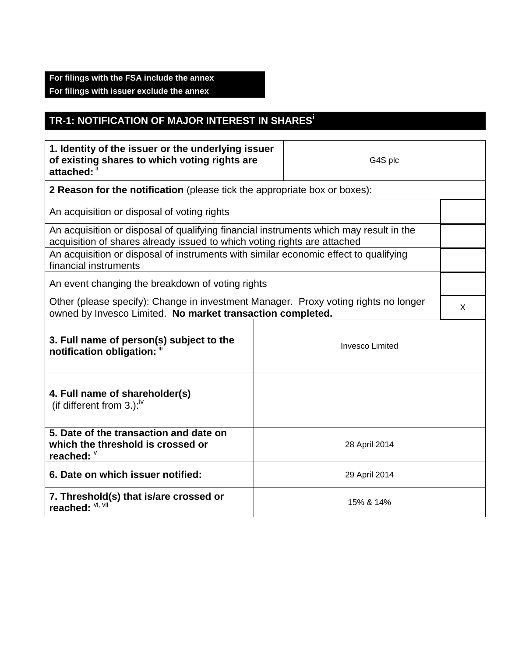## **For filings with the FSA include the annex For filings with issuer exclude the annex**

## **TR-1: NOTIFICATION OF MAJOR INTEREST IN SHARES<sup>i</sup>**

| 1. Identity of the issuer or the underlying issuer<br>of existing shares to which voting rights are<br>attached: ii                                                |               | G4S plc |   |  |
|--------------------------------------------------------------------------------------------------------------------------------------------------------------------|---------------|---------|---|--|
| 2 Reason for the notification (please tick the appropriate box or boxes):                                                                                          |               |         |   |  |
| An acquisition or disposal of voting rights                                                                                                                        |               |         |   |  |
| An acquisition or disposal of qualifying financial instruments which may result in the<br>acquisition of shares already issued to which voting rights are attached |               |         |   |  |
| An acquisition or disposal of instruments with similar economic effect to qualifying<br>financial instruments                                                      |               |         |   |  |
| An event changing the breakdown of voting rights                                                                                                                   |               |         |   |  |
| Other (please specify): Change in investment Manager. Proxy voting rights no longer<br>owned by Invesco Limited. No market transaction completed.                  |               |         | X |  |
| 3. Full name of person(s) subject to the<br><b>Invesco Limited</b><br>notification obligation: "                                                                   |               |         |   |  |
| 4. Full name of shareholder(s)<br>(if different from 3.): $W$                                                                                                      |               |         |   |  |
| 5. Date of the transaction and date on<br>which the threshold is crossed or<br>reached: V                                                                          | 28 April 2014 |         |   |  |
| 6. Date on which issuer notified:                                                                                                                                  | 29 April 2014 |         |   |  |
| 7. Threshold(s) that is/are crossed or<br>reached: VI, VII                                                                                                         | 15% & 14%     |         |   |  |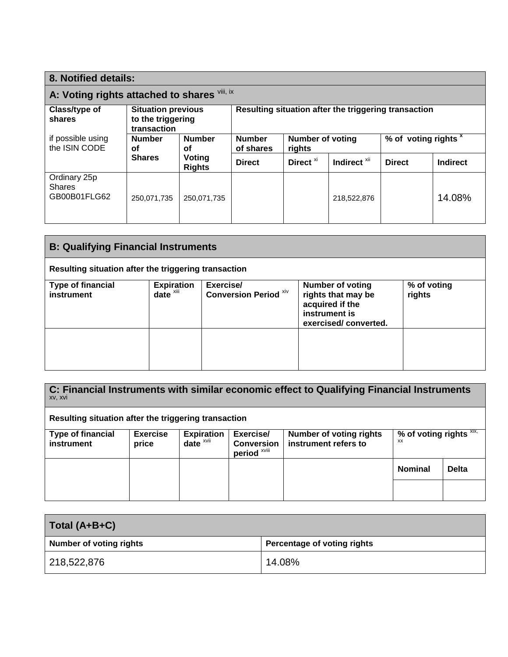| 8. Notified details:                          |                                                                                        |                            |                                                      |                         |                                 |                 |        |
|-----------------------------------------------|----------------------------------------------------------------------------------------|----------------------------|------------------------------------------------------|-------------------------|---------------------------------|-----------------|--------|
| A: Voting rights attached to shares Vili, ix  |                                                                                        |                            |                                                      |                         |                                 |                 |        |
| Class/type of<br>shares                       | <b>Situation previous</b><br>to the triggering<br>transaction                          |                            | Resulting situation after the triggering transaction |                         |                                 |                 |        |
| if possible using<br>the ISIN CODE            | <b>Number</b><br><b>Number</b><br>οf<br>οf<br><b>Shares</b><br>Voting<br><b>Rights</b> | <b>Number</b><br>of shares | <b>Number of voting</b><br>rights                    |                         | % of voting rights <sup>x</sup> |                 |        |
|                                               |                                                                                        | <b>Direct</b>              | Direct <sup>xi</sup>                                 | Indirect <sup>xii</sup> | <b>Direct</b>                   | <b>Indirect</b> |        |
| Ordinary 25p<br><b>Shares</b><br>GB00B01FLG62 | 250,071,735                                                                            | 250.071.735                |                                                      |                         | 218,522,876                     |                 | 14.08% |

| <b>B: Qualifying Financial Instruments</b>           |                                               |                                           |                                                                                                           |                       |
|------------------------------------------------------|-----------------------------------------------|-------------------------------------------|-----------------------------------------------------------------------------------------------------------|-----------------------|
| Resulting situation after the triggering transaction |                                               |                                           |                                                                                                           |                       |
| <b>Type of financial</b><br>instrument               | <b>Expiration</b><br>$date^{\overline{x}iii}$ | Exercise/<br><b>Conversion Period XIV</b> | <b>Number of voting</b><br>rights that may be<br>acquired if the<br>instrument is<br>exercised/converted. | % of voting<br>rights |
|                                                      |                                               |                                           |                                                                                                           |                       |

**C: Financial Instruments with similar economic effect to Qualifying Financial Instruments** xv, xvi

**Resulting situation after the triggering transaction**

| <b>Type of financial</b><br>instrument | <b>Exercise</b><br>price | <b>Expiration</b><br>$date^x$ | Exercise/<br><b>Conversion</b><br>period <sup>xviii</sup> | <b>Number of voting rights</b><br>instrument refers to | % of voting rights $\overline{x}$ xix,<br>XX |              |
|----------------------------------------|--------------------------|-------------------------------|-----------------------------------------------------------|--------------------------------------------------------|----------------------------------------------|--------------|
|                                        |                          |                               |                                                           |                                                        | <b>Nominal</b>                               | <b>Delta</b> |
|                                        |                          |                               |                                                           |                                                        |                                              |              |

| Total (A+B+C)           |                             |
|-------------------------|-----------------------------|
| Number of voting rights | Percentage of voting rights |
| 218,522,876             | 14.08%                      |